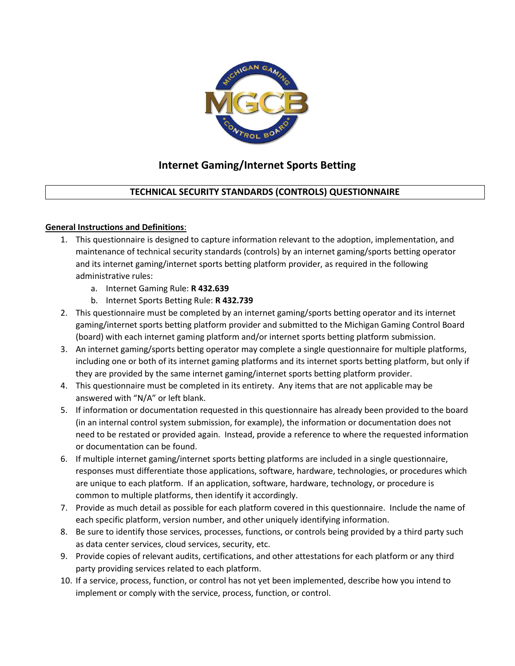

# **Internet Gaming/Internet Sports Betting**

# **TECHNICAL SECURITY STANDARDS (CONTROLS) QUESTIONNAIRE**

## **General Instructions and Definitions**:

- 1. This questionnaire is designed to capture information relevant to the adoption, implementation, and maintenance of technical security standards (controls) by an internet gaming/sports betting operator and its internet gaming/internet sports betting platform provider, as required in the following administrative rules:
	- a. Internet Gaming Rule: **R 432.639**
	- b. Internet Sports Betting Rule: **R 432.739**
- 2. This questionnaire must be completed by an internet gaming/sports betting operator and its internet gaming/internet sports betting platform provider and submitted to the Michigan Gaming Control Board (board) with each internet gaming platform and/or internet sports betting platform submission.
- 3. An internet gaming/sports betting operator may complete a single questionnaire for multiple platforms, including one or both of its internet gaming platforms and its internet sports betting platform, but only if they are provided by the same internet gaming/internet sports betting platform provider.
- 4. This questionnaire must be completed in its entirety. Any items that are not applicable may be answered with "N/A" or left blank.
- 5. If information or documentation requested in this questionnaire has already been provided to the board (in an internal control system submission, for example), the information or documentation does not need to be restated or provided again. Instead, provide a reference to where the requested information or documentation can be found.
- 6. If multiple internet gaming/internet sports betting platforms are included in a single questionnaire, responses must differentiate those applications, software, hardware, technologies, or procedures which are unique to each platform. If an application, software, hardware, technology, or procedure is common to multiple platforms, then identify it accordingly.
- 7. Provide as much detail as possible for each platform covered in this questionnaire. Include the name of each specific platform, version number, and other uniquely identifying information.
- 8. Be sure to identify those services, processes, functions, or controls being provided by a third party such as data center services, cloud services, security, etc.
- 9. Provide copies of relevant audits, certifications, and other attestations for each platform or any third party providing services related to each platform.
- 10. If a service, process, function, or control has not yet been implemented, describe how you intend to implement or comply with the service, process, function, or control.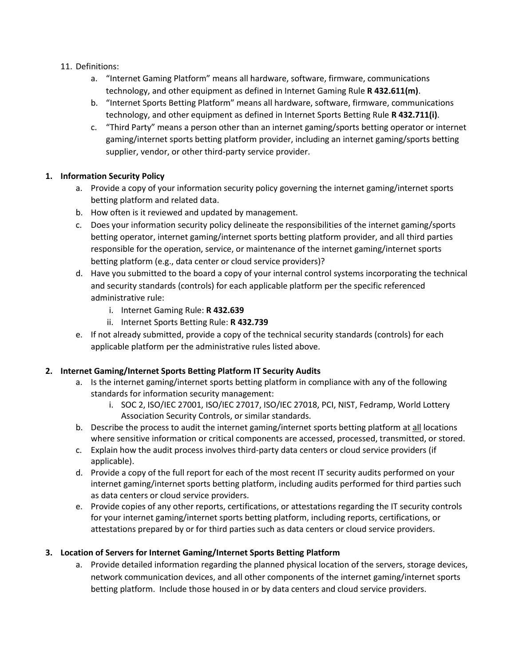- 11. Definitions:
	- a. "Internet Gaming Platform" means all hardware, software, firmware, communications technology, and other equipment as defined in Internet Gaming Rule **R 432.611(m)**.
	- b. "Internet Sports Betting Platform" means all hardware, software, firmware, communications technology, and other equipment as defined in Internet Sports Betting Rule **R 432.711(i)**.
	- c. "Third Party" means a person other than an internet gaming/sports betting operator or internet gaming/internet sports betting platform provider, including an internet gaming/sports betting supplier, vendor, or other third-party service provider.

## **1. Information Security Policy**

- a. Provide a copy of your information security policy governing the internet gaming/internet sports betting platform and related data.
- b. How often is it reviewed and updated by management.
- c. Does your information security policy delineate the responsibilities of the internet gaming/sports betting operator, internet gaming/internet sports betting platform provider, and all third parties responsible for the operation, service, or maintenance of the internet gaming/internet sports betting platform (e.g., data center or cloud service providers)?
- d. Have you submitted to the board a copy of your internal control systems incorporating the technical and security standards (controls) for each applicable platform per the specific referenced administrative rule:
	- i. Internet Gaming Rule: **R 432.639**
	- ii. Internet Sports Betting Rule: **R 432.739**
- e. If not already submitted, provide a copy of the technical security standards (controls) for each applicable platform per the administrative rules listed above.

#### **2. Internet Gaming/Internet Sports Betting Platform IT Security Audits**

- a. Is the internet gaming/internet sports betting platform in compliance with any of the following standards for information security management:
	- i. SOC 2, ISO/IEC 27001, ISO/IEC 27017, ISO/IEC 27018, PCI, NIST, Fedramp, World Lottery Association Security Controls, or similar standards.
- b. Describe the process to audit the internet gaming/internet sports betting platform at all locations where sensitive information or critical components are accessed, processed, transmitted, or stored.
- c. Explain how the audit process involves third-party data centers or cloud service providers (if applicable).
- d. Provide a copy of the full report for each of the most recent IT security audits performed on your internet gaming/internet sports betting platform, including audits performed for third parties such as data centers or cloud service providers.
- e. Provide copies of any other reports, certifications, or attestations regarding the IT security controls for your internet gaming/internet sports betting platform, including reports, certifications, or attestations prepared by or for third parties such as data centers or cloud service providers.

## **3. Location of Servers for Internet Gaming/Internet Sports Betting Platform**

a. Provide detailed information regarding the planned physical location of the servers, storage devices, network communication devices, and all other components of the internet gaming/internet sports betting platform. Include those housed in or by data centers and cloud service providers.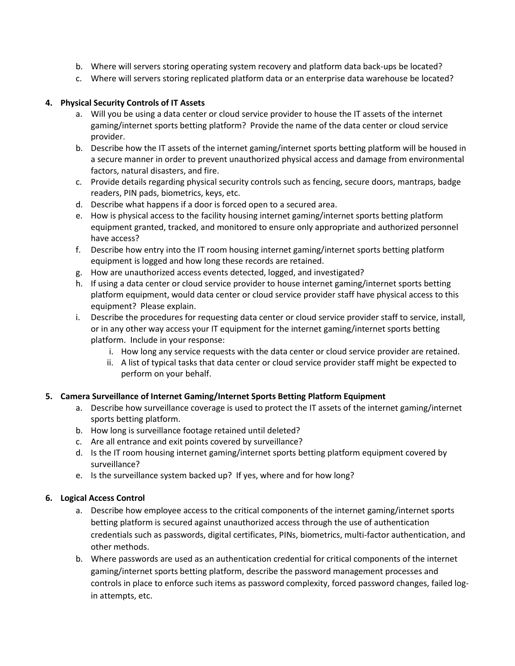- b. Where will servers storing operating system recovery and platform data back-ups be located?
- c. Where will servers storing replicated platform data or an enterprise data warehouse be located?

#### **4. Physical Security Controls of IT Assets**

- a. Will you be using a data center or cloud service provider to house the IT assets of the internet gaming/internet sports betting platform? Provide the name of the data center or cloud service provider.
- b. Describe how the IT assets of the internet gaming/internet sports betting platform will be housed in a secure manner in order to prevent unauthorized physical access and damage from environmental factors, natural disasters, and fire.
- c. Provide details regarding physical security controls such as fencing, secure doors, mantraps, badge readers, PIN pads, biometrics, keys, etc.
- d. Describe what happens if a door is forced open to a secured area.
- e. How is physical access to the facility housing internet gaming/internet sports betting platform equipment granted, tracked, and monitored to ensure only appropriate and authorized personnel have access?
- f. Describe how entry into the IT room housing internet gaming/internet sports betting platform equipment is logged and how long these records are retained.
- g. How are unauthorized access events detected, logged, and investigated?
- h. If using a data center or cloud service provider to house internet gaming/internet sports betting platform equipment, would data center or cloud service provider staff have physical access to this equipment? Please explain.
- i. Describe the procedures for requesting data center or cloud service provider staff to service, install, or in any other way access your IT equipment for the internet gaming/internet sports betting platform. Include in your response:
	- i. How long any service requests with the data center or cloud service provider are retained.
	- ii. A list of typical tasks that data center or cloud service provider staff might be expected to perform on your behalf.

#### **5. Camera Surveillance of Internet Gaming/Internet Sports Betting Platform Equipment**

- a. Describe how surveillance coverage is used to protect the IT assets of the internet gaming/internet sports betting platform.
- b. How long is surveillance footage retained until deleted?
- c. Are all entrance and exit points covered by surveillance?
- d. Is the IT room housing internet gaming/internet sports betting platform equipment covered by surveillance?
- e. Is the surveillance system backed up? If yes, where and for how long?

## **6. Logical Access Control**

- a. Describe how employee access to the critical components of the internet gaming/internet sports betting platform is secured against unauthorized access through the use of authentication credentials such as passwords, digital certificates, PINs, biometrics, multi-factor authentication, and other methods.
- b. Where passwords are used as an authentication credential for critical components of the internet gaming/internet sports betting platform, describe the password management processes and controls in place to enforce such items as password complexity, forced password changes, failed login attempts, etc.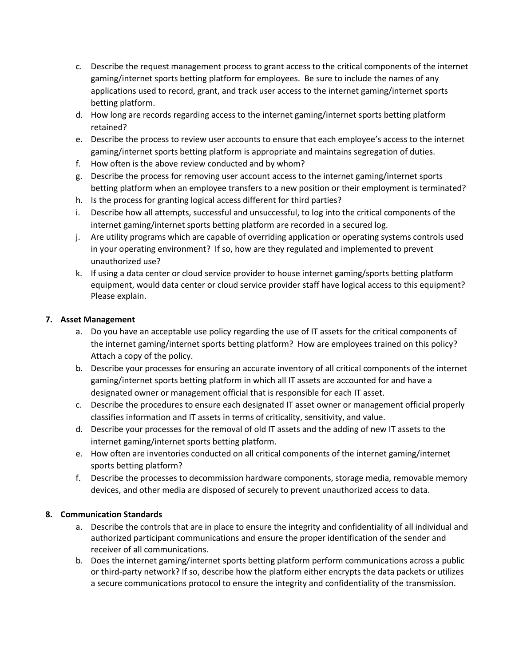- c. Describe the request management process to grant access to the critical components of the internet gaming/internet sports betting platform for employees. Be sure to include the names of any applications used to record, grant, and track user access to the internet gaming/internet sports betting platform.
- d. How long are records regarding access to the internet gaming/internet sports betting platform retained?
- e. Describe the process to review user accounts to ensure that each employee's access to the internet gaming/internet sports betting platform is appropriate and maintains segregation of duties.
- f. How often is the above review conducted and by whom?
- g. Describe the process for removing user account access to the internet gaming/internet sports betting platform when an employee transfers to a new position or their employment is terminated?
- h. Is the process for granting logical access different for third parties?
- i. Describe how all attempts, successful and unsuccessful, to log into the critical components of the internet gaming/internet sports betting platform are recorded in a secured log.
- j. Are utility programs which are capable of overriding application or operating systems controls used in your operating environment? If so, how are they regulated and implemented to prevent unauthorized use?
- k. If using a data center or cloud service provider to house internet gaming/sports betting platform equipment, would data center or cloud service provider staff have logical access to this equipment? Please explain.

## **7. Asset Management**

- a. Do you have an acceptable use policy regarding the use of IT assets for the critical components of the internet gaming/internet sports betting platform? How are employees trained on this policy? Attach a copy of the policy.
- b. Describe your processes for ensuring an accurate inventory of all critical components of the internet gaming/internet sports betting platform in which all IT assets are accounted for and have a designated owner or management official that is responsible for each IT asset.
- c. Describe the procedures to ensure each designated IT asset owner or management official properly classifies information and IT assets in terms of criticality, sensitivity, and value.
- d. Describe your processes for the removal of old IT assets and the adding of new IT assets to the internet gaming/internet sports betting platform.
- e. How often are inventories conducted on all critical components of the internet gaming/internet sports betting platform?
- f. Describe the processes to decommission hardware components, storage media, removable memory devices, and other media are disposed of securely to prevent unauthorized access to data.

## **8. Communication Standards**

- a. Describe the controls that are in place to ensure the integrity and confidentiality of all individual and authorized participant communications and ensure the proper identification of the sender and receiver of all communications.
- b. Does the internet gaming/internet sports betting platform perform communications across a public or third-party network? If so, describe how the platform either encrypts the data packets or utilizes a secure communications protocol to ensure the integrity and confidentiality of the transmission.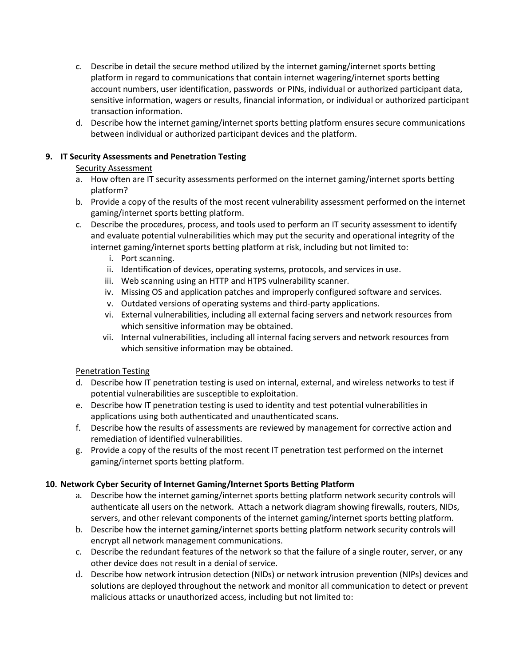- c. Describe in detail the secure method utilized by the internet gaming/internet sports betting platform in regard to communications that contain internet wagering/internet sports betting account numbers, user identification, passwords or PINs, individual or authorized participant data, sensitive information, wagers or results, financial information, or individual or authorized participant transaction information.
- d. Describe how the internet gaming/internet sports betting platform ensures secure communications between individual or authorized participant devices and the platform.

## **9. IT Security Assessments and Penetration Testing**

## Security Assessment

- a. How often are IT security assessments performed on the internet gaming/internet sports betting platform?
- b. Provide a copy of the results of the most recent vulnerability assessment performed on the internet gaming/internet sports betting platform.
- c. Describe the procedures, process, and tools used to perform an IT security assessment to identify and evaluate potential vulnerabilities which may put the security and operational integrity of the internet gaming/internet sports betting platform at risk, including but not limited to:
	- i. Port scanning.
	- ii. Identification of devices, operating systems, protocols, and services in use.
	- iii. Web scanning using an HTTP and HTPS vulnerability scanner.
	- iv. Missing OS and application patches and improperly configured software and services.
	- v. Outdated versions of operating systems and third-party applications.
	- vi. External vulnerabilities, including all external facing servers and network resources from which sensitive information may be obtained.
	- vii. Internal vulnerabilities, including all internal facing servers and network resources from which sensitive information may be obtained.

## Penetration Testing

- d. Describe how IT penetration testing is used on internal, external, and wireless networks to test if potential vulnerabilities are susceptible to exploitation.
- e. Describe how IT penetration testing is used to identity and test potential vulnerabilities in applications using both authenticated and unauthenticated scans.
- f. Describe how the results of assessments are reviewed by management for corrective action and remediation of identified vulnerabilities.
- g. Provide a copy of the results of the most recent IT penetration test performed on the internet gaming/internet sports betting platform.

## **10. Network Cyber Security of Internet Gaming/Internet Sports Betting Platform**

- a. Describe how the internet gaming/internet sports betting platform network security controls will authenticate all users on the network. Attach a network diagram showing firewalls, routers, NIDs, servers, and other relevant components of the internet gaming/internet sports betting platform.
- b. Describe how the internet gaming/internet sports betting platform network security controls will encrypt all network management communications.
- c. Describe the redundant features of the network so that the failure of a single router, server, or any other device does not result in a denial of service.
- d. Describe how network intrusion detection (NIDs) or network intrusion prevention (NIPs) devices and solutions are deployed throughout the network and monitor all communication to detect or prevent malicious attacks or unauthorized access, including but not limited to: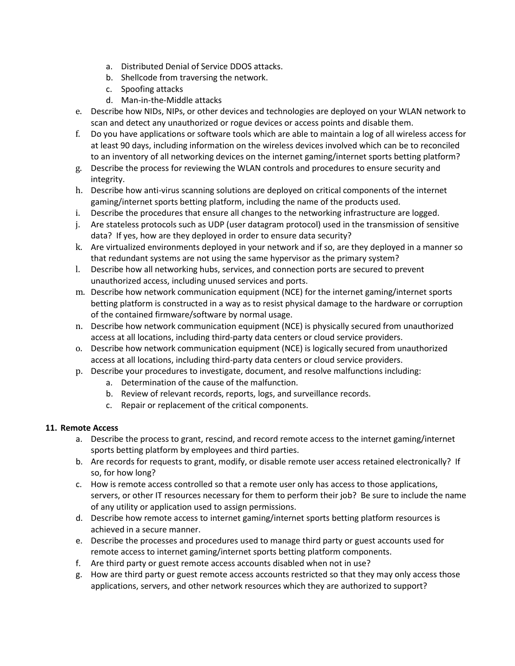- a. Distributed Denial of Service DDOS attacks.
- b. Shellcode from traversing the network.
- c. Spoofing attacks
- d. Man-in-the-Middle attacks
- e. Describe how NIDs, NIPs, or other devices and technologies are deployed on your WLAN network to scan and detect any unauthorized or rogue devices or access points and disable them.
- f. Do you have applications or software tools which are able to maintain a log of all wireless access for at least 90 days, including information on the wireless devices involved which can be to reconciled to an inventory of all networking devices on the internet gaming/internet sports betting platform?
- g. Describe the process for reviewing the WLAN controls and procedures to ensure security and integrity.
- h. Describe how anti-virus scanning solutions are deployed on critical components of the internet gaming/internet sports betting platform, including the name of the products used.
- i. Describe the procedures that ensure all changes to the networking infrastructure are logged.
- j. Are stateless protocols such as UDP (user datagram protocol) used in the transmission of sensitive data? If yes, how are they deployed in order to ensure data security?
- k. Are virtualized environments deployed in your network and if so, are they deployed in a manner so that redundant systems are not using the same hypervisor as the primary system?
- l. Describe how all networking hubs, services, and connection ports are secured to prevent unauthorized access, including unused services and ports.
- m. Describe how network communication equipment (NCE) for the internet gaming/internet sports betting platform is constructed in a way as to resist physical damage to the hardware or corruption of the contained firmware/software by normal usage.
- n. Describe how network communication equipment (NCE) is physically secured from unauthorized access at all locations, including third-party data centers or cloud service providers.
- o. Describe how network communication equipment (NCE) is logically secured from unauthorized access at all locations, including third-party data centers or cloud service providers.
- p. Describe your procedures to investigate, document, and resolve malfunctions including:
	- a. Determination of the cause of the malfunction.
	- b. Review of relevant records, reports, logs, and surveillance records.
	- c. Repair or replacement of the critical components.

## **11. Remote Access**

- a. Describe the process to grant, rescind, and record remote access to the internet gaming/internet sports betting platform by employees and third parties.
- b. Are records for requests to grant, modify, or disable remote user access retained electronically? If so, for how long?
- c. How is remote access controlled so that a remote user only has access to those applications, servers, or other IT resources necessary for them to perform their job? Be sure to include the name of any utility or application used to assign permissions.
- d. Describe how remote access to internet gaming/internet sports betting platform resources is achieved in a secure manner.
- e. Describe the processes and procedures used to manage third party or guest accounts used for remote access to internet gaming/internet sports betting platform components.
- f. Are third party or guest remote access accounts disabled when not in use?
- g. How are third party or guest remote access accounts restricted so that they may only access those applications, servers, and other network resources which they are authorized to support?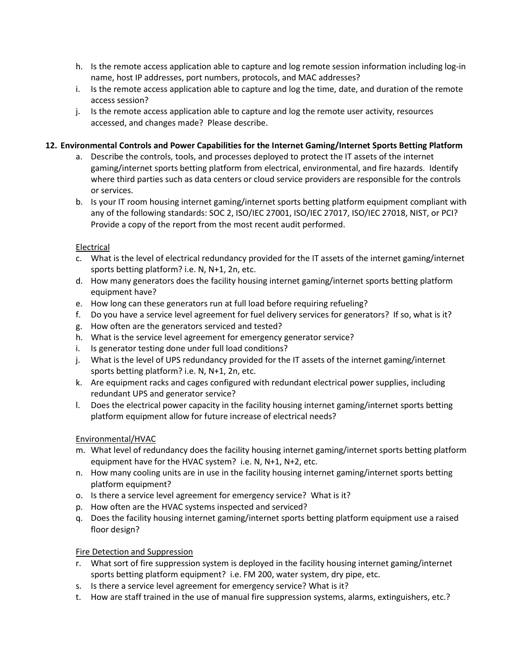- h. Is the remote access application able to capture and log remote session information including log-in name, host IP addresses, port numbers, protocols, and MAC addresses?
- i. Is the remote access application able to capture and log the time, date, and duration of the remote access session?
- j. Is the remote access application able to capture and log the remote user activity, resources accessed, and changes made? Please describe.

## **12. Environmental Controls and Power Capabilities for the Internet Gaming/Internet Sports Betting Platform**

- a. Describe the controls, tools, and processes deployed to protect the IT assets of the internet gaming/internet sports betting platform from electrical, environmental, and fire hazards. Identify where third parties such as data centers or cloud service providers are responsible for the controls or services.
- b. Is your IT room housing internet gaming/internet sports betting platform equipment compliant with any of the following standards: SOC 2, ISO/IEC 27001, ISO/IEC 27017, ISO/IEC 27018, NIST, or PCI? Provide a copy of the report from the most recent audit performed.

## Electrical

- c. What is the level of electrical redundancy provided for the IT assets of the internet gaming/internet sports betting platform? i.e. N, N+1, 2n, etc.
- d. How many generators does the facility housing internet gaming/internet sports betting platform equipment have?
- e. How long can these generators run at full load before requiring refueling?
- f. Do you have a service level agreement for fuel delivery services for generators? If so, what is it?
- g. How often are the generators serviced and tested?
- h. What is the service level agreement for emergency generator service?
- i. Is generator testing done under full load conditions?
- j. What is the level of UPS redundancy provided for the IT assets of the internet gaming/internet sports betting platform? i.e. N, N+1, 2n, etc.
- k. Are equipment racks and cages configured with redundant electrical power supplies, including redundant UPS and generator service?
- l. Does the electrical power capacity in the facility housing internet gaming/internet sports betting platform equipment allow for future increase of electrical needs?

## Environmental/HVAC

- m. What level of redundancy does the facility housing internet gaming/internet sports betting platform equipment have for the HVAC system? i.e. N, N+1, N+2, etc.
- n. How many cooling units are in use in the facility housing internet gaming/internet sports betting platform equipment?
- o. Is there a service level agreement for emergency service? What is it?
- p. How often are the HVAC systems inspected and serviced?
- q. Does the facility housing internet gaming/internet sports betting platform equipment use a raised floor design?

## Fire Detection and Suppression

- r. What sort of fire suppression system is deployed in the facility housing internet gaming/internet sports betting platform equipment? i.e. FM 200, water system, dry pipe, etc.
- s. Is there a service level agreement for emergency service? What is it?
- t. How are staff trained in the use of manual fire suppression systems, alarms, extinguishers, etc.?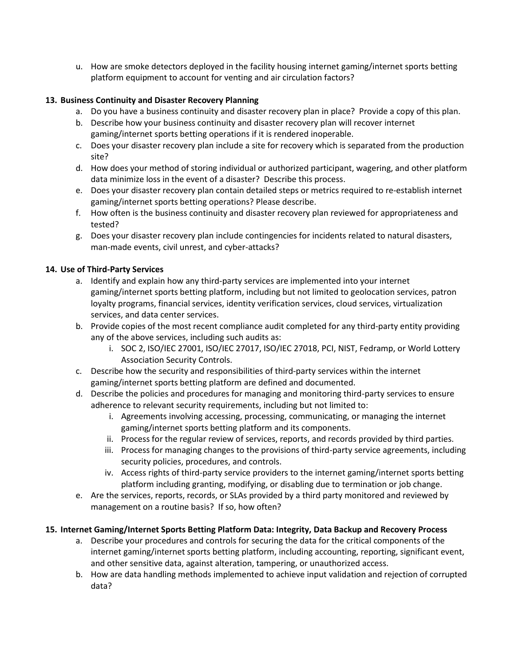u. How are smoke detectors deployed in the facility housing internet gaming/internet sports betting platform equipment to account for venting and air circulation factors?

#### **13. Business Continuity and Disaster Recovery Planning**

- a. Do you have a business continuity and disaster recovery plan in place? Provide a copy of this plan.
- b. Describe how your business continuity and disaster recovery plan will recover internet gaming/internet sports betting operations if it is rendered inoperable.
- c. Does your disaster recovery plan include a site for recovery which is separated from the production site?
- d. How does your method of storing individual or authorized participant, wagering, and other platform data minimize loss in the event of a disaster? Describe this process.
- e. Does your disaster recovery plan contain detailed steps or metrics required to re-establish internet gaming/internet sports betting operations? Please describe.
- f. How often is the business continuity and disaster recovery plan reviewed for appropriateness and tested?
- g. Does your disaster recovery plan include contingencies for incidents related to natural disasters, man-made events, civil unrest, and cyber-attacks?

#### **14. Use of Third-Party Services**

- a. Identify and explain how any third-party services are implemented into your internet gaming/internet sports betting platform, including but not limited to geolocation services, patron loyalty programs, financial services, identity verification services, cloud services, virtualization services, and data center services.
- b. Provide copies of the most recent compliance audit completed for any third-party entity providing any of the above services, including such audits as:
	- i. SOC 2, ISO/IEC 27001, ISO/IEC 27017, ISO/IEC 27018, PCI, NIST, Fedramp, or World Lottery Association Security Controls.
- c. Describe how the security and responsibilities of third-party services within the internet gaming/internet sports betting platform are defined and documented.
- d. Describe the policies and procedures for managing and monitoring third-party services to ensure adherence to relevant security requirements, including but not limited to:
	- i. Agreements involving accessing, processing, communicating, or managing the internet gaming/internet sports betting platform and its components.
	- ii. Process for the regular review of services, reports, and records provided by third parties.
	- iii. Process for managing changes to the provisions of third-party service agreements, including security policies, procedures, and controls.
	- iv. Access rights of third-party service providers to the internet gaming/internet sports betting platform including granting, modifying, or disabling due to termination or job change.
- e. Are the services, reports, records, or SLAs provided by a third party monitored and reviewed by management on a routine basis? If so, how often?

## **15. Internet Gaming/Internet Sports Betting Platform Data: Integrity, Data Backup and Recovery Process**

- a. Describe your procedures and controls for securing the data for the critical components of the internet gaming/internet sports betting platform, including accounting, reporting, significant event, and other sensitive data, against alteration, tampering, or unauthorized access.
- b. How are data handling methods implemented to achieve input validation and rejection of corrupted data?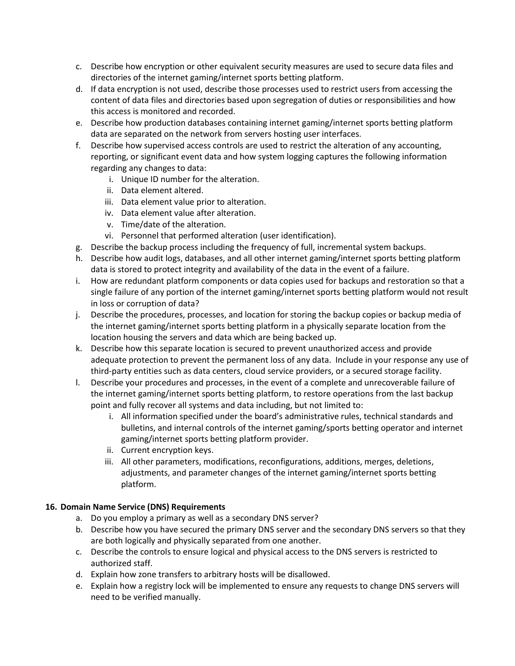- c. Describe how encryption or other equivalent security measures are used to secure data files and directories of the internet gaming/internet sports betting platform.
- d. If data encryption is not used, describe those processes used to restrict users from accessing the content of data files and directories based upon segregation of duties or responsibilities and how this access is monitored and recorded.
- e. Describe how production databases containing internet gaming/internet sports betting platform data are separated on the network from servers hosting user interfaces.
- f. Describe how supervised access controls are used to restrict the alteration of any accounting, reporting, or significant event data and how system logging captures the following information regarding any changes to data:
	- i. Unique ID number for the alteration.
	- ii. Data element altered.
	- iii. Data element value prior to alteration.
	- iv. Data element value after alteration.
	- v. Time/date of the alteration.
	- vi. Personnel that performed alteration (user identification).
- g. Describe the backup process including the frequency of full, incremental system backups.
- h. Describe how audit logs, databases, and all other internet gaming/internet sports betting platform data is stored to protect integrity and availability of the data in the event of a failure.
- i. How are redundant platform components or data copies used for backups and restoration so that a single failure of any portion of the internet gaming/internet sports betting platform would not result in loss or corruption of data?
- j. Describe the procedures, processes, and location for storing the backup copies or backup media of the internet gaming/internet sports betting platform in a physically separate location from the location housing the servers and data which are being backed up.
- k. Describe how this separate location is secured to prevent unauthorized access and provide adequate protection to prevent the permanent loss of any data. Include in your response any use of third-party entities such as data centers, cloud service providers, or a secured storage facility.
- l. Describe your procedures and processes, in the event of a complete and unrecoverable failure of the internet gaming/internet sports betting platform, to restore operations from the last backup point and fully recover all systems and data including, but not limited to:
	- i. All information specified under the board's administrative rules, technical standards and bulletins, and internal controls of the internet gaming/sports betting operator and internet gaming/internet sports betting platform provider.
	- ii. Current encryption keys.
	- iii. All other parameters, modifications, reconfigurations, additions, merges, deletions, adjustments, and parameter changes of the internet gaming/internet sports betting platform.

#### **16. Domain Name Service (DNS) Requirements**

- a. Do you employ a primary as well as a secondary DNS server?
- b. Describe how you have secured the primary DNS server and the secondary DNS servers so that they are both logically and physically separated from one another.
- c. Describe the controls to ensure logical and physical access to the DNS servers is restricted to authorized staff.
- d. Explain how zone transfers to arbitrary hosts will be disallowed.
- e. Explain how a registry lock will be implemented to ensure any requests to change DNS servers will need to be verified manually.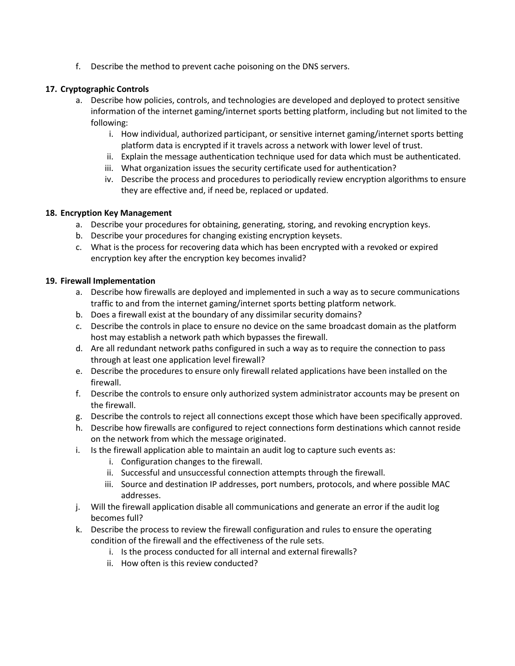f. Describe the method to prevent cache poisoning on the DNS servers.

#### **17. Cryptographic Controls**

- a. Describe how policies, controls, and technologies are developed and deployed to protect sensitive information of the internet gaming/internet sports betting platform, including but not limited to the following:
	- i. How individual, authorized participant, or sensitive internet gaming/internet sports betting platform data is encrypted if it travels across a network with lower level of trust.
	- ii. Explain the message authentication technique used for data which must be authenticated.
	- iii. What organization issues the security certificate used for authentication?
	- iv. Describe the process and procedures to periodically review encryption algorithms to ensure they are effective and, if need be, replaced or updated.

#### **18. Encryption Key Management**

- a. Describe your procedures for obtaining, generating, storing, and revoking encryption keys.
- b. Describe your procedures for changing existing encryption keysets.
- c. What is the process for recovering data which has been encrypted with a revoked or expired encryption key after the encryption key becomes invalid?

#### **19. Firewall Implementation**

- a. Describe how firewalls are deployed and implemented in such a way as to secure communications traffic to and from the internet gaming/internet sports betting platform network.
- b. Does a firewall exist at the boundary of any dissimilar security domains?
- c. Describe the controls in place to ensure no device on the same broadcast domain as the platform host may establish a network path which bypasses the firewall.
- d. Are all redundant network paths configured in such a way as to require the connection to pass through at least one application level firewall?
- e. Describe the procedures to ensure only firewall related applications have been installed on the firewall.
- f. Describe the controls to ensure only authorized system administrator accounts may be present on the firewall.
- g. Describe the controls to reject all connections except those which have been specifically approved.
- h. Describe how firewalls are configured to reject connections form destinations which cannot reside on the network from which the message originated.
- i. Is the firewall application able to maintain an audit log to capture such events as:
	- i. Configuration changes to the firewall.
	- ii. Successful and unsuccessful connection attempts through the firewall.
	- iii. Source and destination IP addresses, port numbers, protocols, and where possible MAC addresses.
- j. Will the firewall application disable all communications and generate an error if the audit log becomes full?
- k. Describe the process to review the firewall configuration and rules to ensure the operating condition of the firewall and the effectiveness of the rule sets.
	- i. Is the process conducted for all internal and external firewalls?
	- ii. How often is this review conducted?